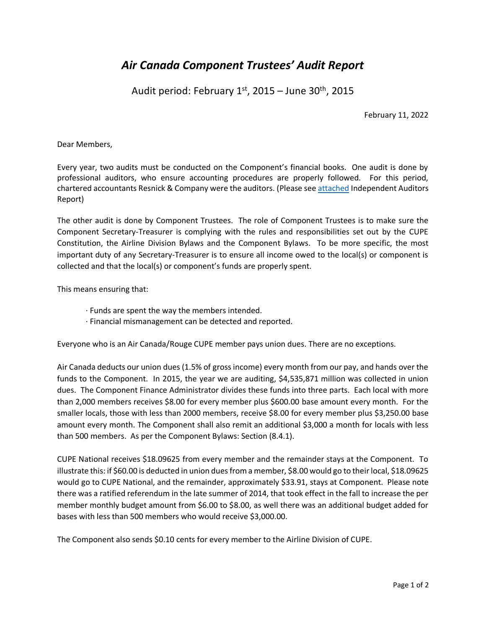# *Air Canada Component Trustees' Audit Report*

Audit period: February 1st, 2015 – June 30<sup>th</sup>, 2015

February 11, 2022

Dear Members,

Every year, two audits must be conducted on the Component's financial books. One audit is done by professional auditors, who ensure accounting procedures are properly followed. For this period, chartered accountants Resnick & Company were the auditors. (Please se[e attached](https://mcusercontent.com/f6750312d5/files/1c785876-2434-e3b8-63a9-3a121532359c/14_15_Resnick_inancial_Statements.pdf) Independent Auditors Report)

The other audit is done by Component Trustees. The role of Component Trustees is to make sure the Component Secretary-Treasurer is complying with the rules and responsibilities set out by the CUPE Constitution, the Airline Division Bylaws and the Component Bylaws. To be more specific, the most important duty of any Secretary-Treasurer is to ensure all income owed to the local(s) or component is collected and that the local(s) or component's funds are properly spent.

This means ensuring that:

- ∙ Funds are spent the way the members intended.
- ∙ Financial mismanagement can be detected and reported.

Everyone who is an Air Canada/Rouge CUPE member pays union dues. There are no exceptions.

Air Canada deducts our union dues (1.5% of gross income) every month from our pay, and hands over the funds to the Component. In 2015, the year we are auditing, \$4,535,871 million was collected in union dues. The Component Finance Administrator divides these funds into three parts. Each local with more than 2,000 members receives \$8.00 for every member plus \$600.00 base amount every month. For the smaller locals, those with less than 2000 members, receive \$8.00 for every member plus \$3,250.00 base amount every month. The Component shall also remit an additional \$3,000 a month for locals with less than 500 members. As per the Component Bylaws: Section (8.4.1).

CUPE National receives \$18.09625 from every member and the remainder stays at the Component. To illustrate this: if \$60.00 is deducted in union dues from a member, \$8.00 would go to their local, \$18.09625 would go to CUPE National, and the remainder, approximately \$33.91, stays at Component. Please note there was a ratified referendum in the late summer of 2014, that took effect in the fall to increase the per member monthly budget amount from \$6.00 to \$8.00, as well there was an additional budget added for bases with less than 500 members who would receive \$3,000.00.

The Component also sends \$0.10 cents for every member to the Airline Division of CUPE.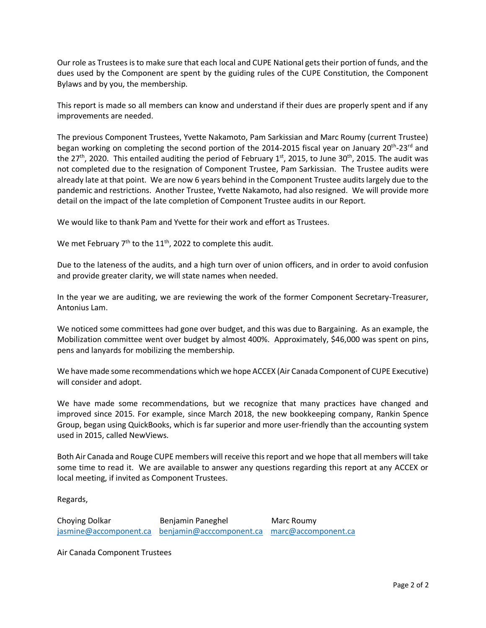Our role as Trustees is to make sure that each local and CUPE National gets their portion of funds, and the dues used by the Component are spent by the guiding rules of the CUPE Constitution, the Component Bylaws and by you, the membership.

This report is made so all members can know and understand if their dues are properly spent and if any improvements are needed.

The previous Component Trustees, Yvette Nakamoto, Pam Sarkissian and Marc Roumy (current Trustee) began working on completing the second portion of the 2014-2015 fiscal year on January 20<sup>th</sup>-23<sup>rd</sup> and the 27<sup>th</sup>, 2020. This entailed auditing the period of February 1<sup>st</sup>, 2015, to June 30<sup>th</sup>, 2015. The audit was not completed due to the resignation of Component Trustee, Pam Sarkissian. The Trustee audits were already late at that point. We are now 6 years behind in the Component Trustee audits largely due to the pandemic and restrictions. Another Trustee, Yvette Nakamoto, had also resigned. We will provide more detail on the impact of the late completion of Component Trustee audits in our Report.

We would like to thank Pam and Yvette for their work and effort as Trustees.

We met February 7<sup>th</sup> to the 11<sup>th</sup>, 2022 to complete this audit.

Due to the lateness of the audits, and a high turn over of union officers, and in order to avoid confusion and provide greater clarity, we will state names when needed.

In the year we are auditing, we are reviewing the work of the former Component Secretary-Treasurer, Antonius Lam.

We noticed some committees had gone over budget, and this was due to Bargaining. As an example, the Mobilization committee went over budget by almost 400%. Approximately, \$46,000 was spent on pins, pens and lanyards for mobilizing the membership.

We have made some recommendations which we hope ACCEX (Air Canada Component of CUPE Executive) will consider and adopt.

We have made some recommendations, but we recognize that many practices have changed and improved since 2015. For example, since March 2018, the new bookkeeping company, Rankin Spence Group, began using QuickBooks, which is far superior and more user-friendly than the accounting system used in 2015, called NewViews.

Both Air Canada and Rouge CUPE members will receive this report and we hope that all members will take some time to read it. We are available to answer any questions regarding this report at any ACCEX or local meeting, if invited as Component Trustees.

Regards,

Choying Dolkar **Benjamin Paneghel Marc Roumy** [jasmine@accomponent.ca](mailto:jasmine@accomponent.ca) [benjamin@acccomponent.ca](mailto:benjamin@acccomponent.ca) [marc@accomponent.ca](mailto:marc@accomponent.ca)

Air Canada Component Trustees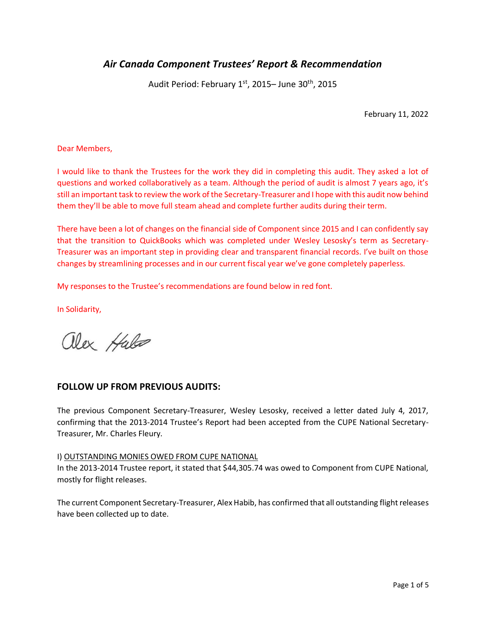## *Air Canada Component Trustees' Report & Recommendation*

Audit Period: February 1st, 2015– June 30<sup>th</sup>, 2015

February 11, 2022

Dear Members,

I would like to thank the Trustees for the work they did in completing this audit. They asked a lot of questions and worked collaboratively as a team. Although the period of audit is almost 7 years ago, it's still an important task to review the work of the Secretary-Treasurer and I hope with this audit now behind them they'll be able to move full steam ahead and complete further audits during their term.

There have been a lot of changes on the financial side of Component since 2015 and I can confidently say that the transition to QuickBooks which was completed under Wesley Lesosky's term as Secretary-Treasurer was an important step in providing clear and transparent financial records. I've built on those changes by streamlining processes and in our current fiscal year we've gone completely paperless.

My responses to the Trustee's recommendations are found below in red font.

In Solidarity,

alex Hales

## **FOLLOW UP FROM PREVIOUS AUDITS:**

The previous Component Secretary-Treasurer, Wesley Lesosky, received a letter dated July 4, 2017, confirming that the 2013-2014 Trustee's Report had been accepted from the CUPE National Secretary-Treasurer, Mr. Charles Fleury.

#### I) OUTSTANDING MONIES OWED FROM CUPE NATIONAL

In the 2013-2014 Trustee report, it stated that \$44,305.74 was owed to Component from CUPE National, mostly for flight releases.

The current Component Secretary-Treasurer, Alex Habib, has confirmed that all outstanding flight releases have been collected up to date.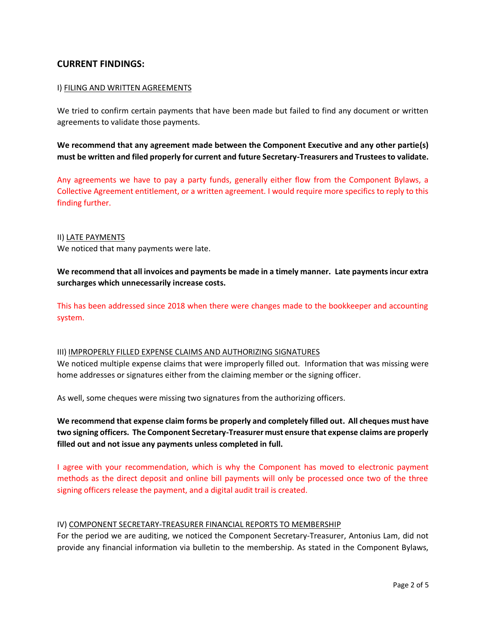## **CURRENT FINDINGS:**

#### I) FILING AND WRITTEN AGREEMENTS

We tried to confirm certain payments that have been made but failed to find any document or written agreements to validate those payments.

**We recommend that any agreement made between the Component Executive and any other partie(s) must be written and filed properly for current and future Secretary-Treasurers and Trustees to validate.**

Any agreements we have to pay a party funds, generally either flow from the Component Bylaws, a Collective Agreement entitlement, or a written agreement. I would require more specifics to reply to this finding further.

#### II) LATE PAYMENTS

We noticed that many payments were late.

**We recommend that all invoices and payments be made in a timely manner. Late payments incur extra surcharges which unnecessarily increase costs.**

This has been addressed since 2018 when there were changes made to the bookkeeper and accounting system.

#### III) IMPROPERLY FILLED EXPENSE CLAIMS AND AUTHORIZING SIGNATURES

We noticed multiple expense claims that were improperly filled out. Information that was missing were home addresses or signatures either from the claiming member or the signing officer.

As well, some cheques were missing two signatures from the authorizing officers.

**We recommend that expense claim forms be properly and completely filled out. All cheques must have two signing officers. The Component Secretary-Treasurer must ensure that expense claims are properly filled out and not issue any payments unless completed in full.** 

I agree with your recommendation, which is why the Component has moved to electronic payment methods as the direct deposit and online bill payments will only be processed once two of the three signing officers release the payment, and a digital audit trail is created.

#### IV) COMPONENT SECRETARY-TREASURER FINANCIAL REPORTS TO MEMBERSHIP

For the period we are auditing, we noticed the Component Secretary-Treasurer, Antonius Lam, did not provide any financial information via bulletin to the membership. As stated in the Component Bylaws,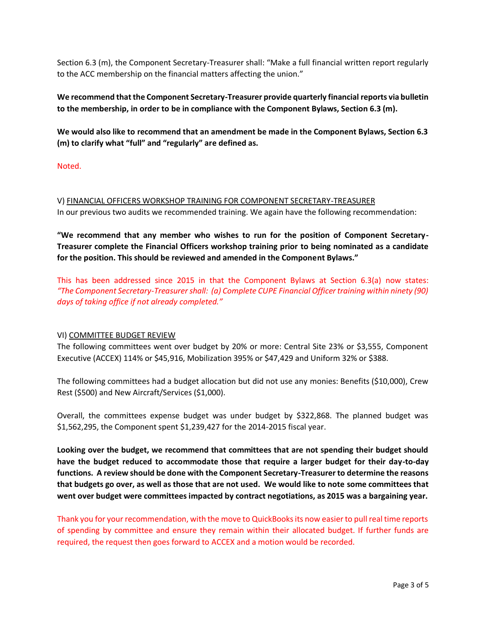Section 6.3 (m), the Component Secretary-Treasurer shall: "Make a full financial written report regularly to the ACC membership on the financial matters affecting the union."

**We recommend that the Component Secretary-Treasurer provide quarterly financial reports via bulletin to the membership, in order to be in compliance with the Component Bylaws, Section 6.3 (m).** 

**We would also like to recommend that an amendment be made in the Component Bylaws, Section 6.3 (m) to clarify what "full" and "regularly" are defined as.**

Noted.

V) FINANCIAL OFFICERS WORKSHOP TRAINING FOR COMPONENT SECRETARY-TREASURER

In our previous two audits we recommended training. We again have the following recommendation:

**"We recommend that any member who wishes to run for the position of Component Secretary-Treasurer complete the Financial Officers workshop training prior to being nominated as a candidate for the position. This should be reviewed and amended in the Component Bylaws."**

This has been addressed since 2015 in that the Component Bylaws at Section 6.3(a) now states: *"The Component Secretary-Treasurer shall: (a) Complete CUPE Financial Officer training within ninety (90) days of taking office if not already completed."*

## VI) COMMITTEE BUDGET REVIEW

The following committees went over budget by 20% or more: Central Site 23% or \$3,555, Component Executive (ACCEX) 114% or \$45,916, Mobilization 395% or \$47,429 and Uniform 32% or \$388.

The following committees had a budget allocation but did not use any monies: Benefits (\$10,000), Crew Rest (\$500) and New Aircraft/Services (\$1,000).

Overall, the committees expense budget was under budget by \$322,868. The planned budget was \$1,562,295, the Component spent \$1,239,427 for the 2014-2015 fiscal year.

**Looking over the budget, we recommend that committees that are not spending their budget should have the budget reduced to accommodate those that require a larger budget for their day-to-day functions. A review should be done with the Component Secretary-Treasurer to determine the reasons that budgets go over, as well as those that are not used. We would like to note some committees that went over budget were committees impacted by contract negotiations, as 2015 was a bargaining year.**

Thank you for your recommendation, with the move to QuickBooks its now easier to pull real time reports of spending by committee and ensure they remain within their allocated budget. If further funds are required, the request then goes forward to ACCEX and a motion would be recorded.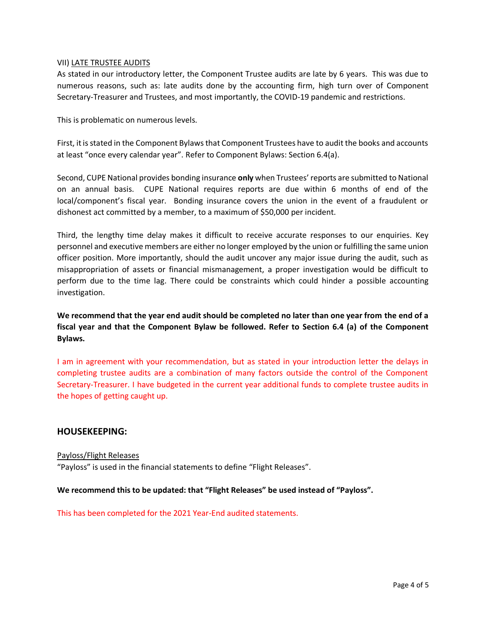#### VII) LATE TRUSTEE AUDITS

As stated in our introductory letter, the Component Trustee audits are late by 6 years. This was due to numerous reasons, such as: late audits done by the accounting firm, high turn over of Component Secretary-Treasurer and Trustees, and most importantly, the COVID-19 pandemic and restrictions.

This is problematic on numerous levels.

First, it is stated in the Component Bylaws that Component Trustees have to audit the books and accounts at least "once every calendar year". Refer to Component Bylaws: Section 6.4(a).

Second, CUPE National provides bonding insurance **only** when Trustees' reports are submitted to National on an annual basis. CUPE National requires reports are due within 6 months of end of the local/component's fiscal year. Bonding insurance covers the union in the event of a fraudulent or dishonest act committed by a member, to a maximum of \$50,000 per incident.

Third, the lengthy time delay makes it difficult to receive accurate responses to our enquiries. Key personnel and executive members are either no longer employed by the union or fulfilling the same union officer position. More importantly, should the audit uncover any major issue during the audit, such as misappropriation of assets or financial mismanagement, a proper investigation would be difficult to perform due to the time lag. There could be constraints which could hinder a possible accounting investigation.

**We recommend that the year end audit should be completed no later than one year from the end of a fiscal year and that the Component Bylaw be followed. Refer to Section 6.4 (a) of the Component Bylaws.**

I am in agreement with your recommendation, but as stated in your introduction letter the delays in completing trustee audits are a combination of many factors outside the control of the Component Secretary-Treasurer. I have budgeted in the current year additional funds to complete trustee audits in the hopes of getting caught up.

## **HOUSEKEEPING:**

Payloss/Flight Releases "Payloss" is used in the financial statements to define "Flight Releases".

**We recommend this to be updated: that "Flight Releases" be used instead of "Payloss".**

This has been completed for the 2021 Year-End audited statements.